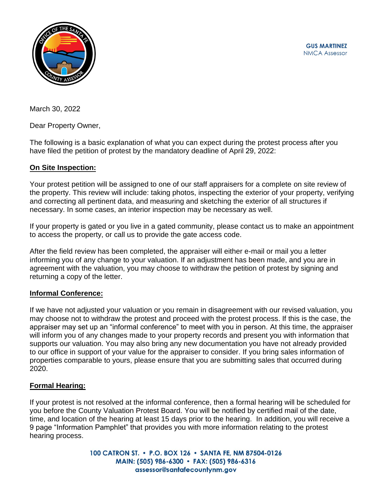

March 30, 2022

Dear Property Owner,

The following is a basic explanation of what you can expect during the protest process after you have filed the petition of protest by the mandatory deadline of April 29, 2022:

## **On Site Inspection:**

Your protest petition will be assigned to one of our staff appraisers for a complete on site review of the property. This review will include: taking photos, inspecting the exterior of your property, verifying and correcting all pertinent data, and measuring and sketching the exterior of all structures if necessary. In some cases, an interior inspection may be necessary as well.

If your property is gated or you live in a gated community, please contact us to make an appointment to access the property, or call us to provide the gate access code.

After the field review has been completed, the appraiser will either e-mail or mail you a letter informing you of any change to your valuation. If an adjustment has been made, and you are in agreement with the valuation, you may choose to withdraw the petition of protest by signing and returning a copy of the letter.

## **Informal Conference:**

If we have not adjusted your valuation or you remain in disagreement with our revised valuation, you may choose not to withdraw the protest and proceed with the protest process. If this is the case, the appraiser may set up an "informal conference" to meet with you in person. At this time, the appraiser will inform you of any changes made to your property records and present you with information that supports our valuation. You may also bring any new documentation you have not already provided to our office in support of your value for the appraiser to consider. If you bring sales information of properties comparable to yours, please ensure that you are submitting sales that occurred during 2020.

## **Formal Hearing:**

If your protest is not resolved at the informal conference, then a formal hearing will be scheduled for you before the County Valuation Protest Board. You will be notified by certified mail of the date, time, and location of the hearing at least 15 days prior to the hearing. In addition, you will receive a 9 page "Information Pamphlet" that provides you with more information relating to the protest hearing process.

> 100 CATRON ST. • P.O. BOX 126 • SANTA FE, NM 87504-0126 MAIN: (505) 986-6300 · FAX: (505) 986-6316 assessor@santafecountynm.gov